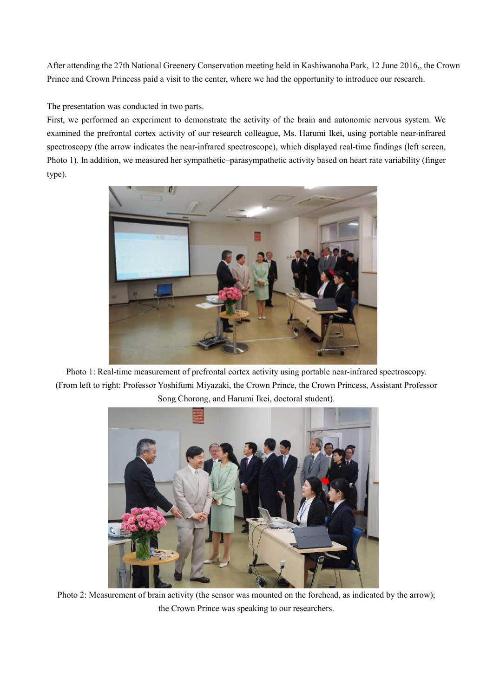After attending the 27th National Greenery Conservation meeting held in Kashiwanoha Park, 12 June 2016,, the Crown Prince and Crown Princess paid a visit to the center, where we had the opportunity to introduce our research.

The presentation was conducted in two parts.

First, we performed an experiment to demonstrate the activity of the brain and autonomic nervous system. We examined the prefrontal cortex activity of our research colleague, Ms. Harumi Ikei, using portable near-infrared spectroscopy (the arrow indicates the near-infrared spectroscope), which displayed real-time findings (left screen, Photo 1). In addition, we measured her sympathetic–parasympathetic activity based on heart rate variability (finger type).



Photo 1: Real-time measurement of prefrontal cortex activity using portable near-infrared spectroscopy. (From left to right: Professor Yoshifumi Miyazaki, the Crown Prince, the Crown Princess, Assistant Professor Song Chorong, and Harumi Ikei, doctoral student).



Photo 2: Measurement of brain activity (the sensor was mounted on the forehead, as indicated by the arrow); the Crown Prince was speaking to our researchers.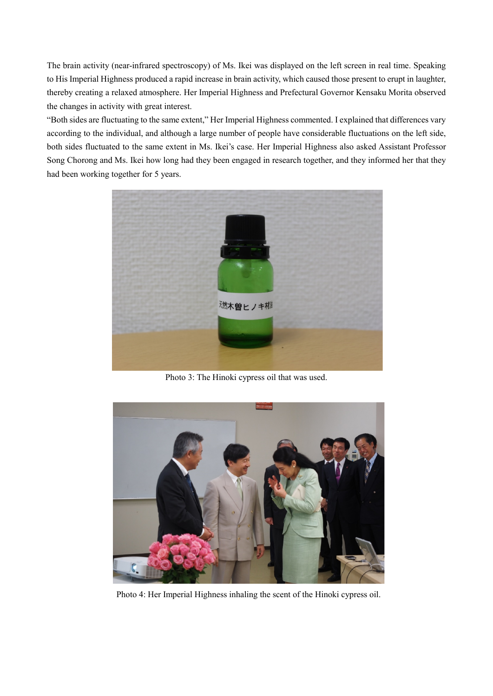The brain activity (near-infrared spectroscopy) of Ms. Ikei was displayed on the left screen in real time. Speaking to His Imperial Highness produced a rapid increase in brain activity, which caused those present to erupt in laughter, thereby creating a relaxed atmosphere. Her Imperial Highness and Prefectural Governor Kensaku Morita observed the changes in activity with great interest.

"Both sides are fluctuating to the same extent," Her Imperial Highness commented. I explained that differences vary according to the individual, and although a large number of people have considerable fluctuations on the left side, both sides fluctuated to the same extent in Ms. Ikei's case. Her Imperial Highness also asked Assistant Professor Song Chorong and Ms. Ikei how long had they been engaged in research together, and they informed her that they had been working together for 5 years.



Photo 3: The Hinoki cypress oil that was used.



Photo 4: Her Imperial Highness inhaling the scent of the Hinoki cypress oil.